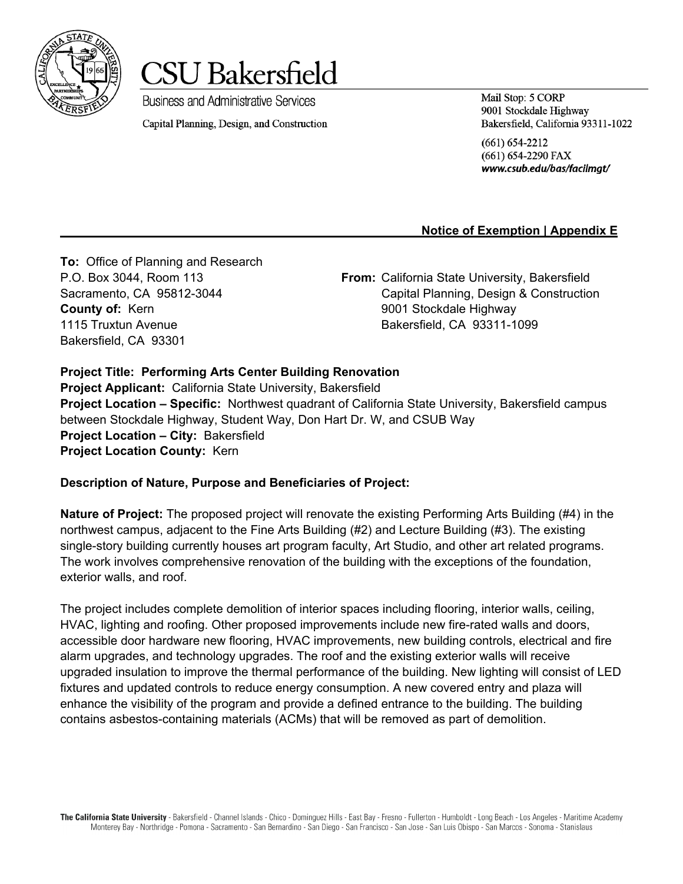



Capital Planning, Design, and Construction

**Business and Administrative Services** 

Mail Stop: 5 CORP 9001 Stockdale Highway Bakersfield, California 93311-1022

 $(661) 654 - 2212$ (661) 654-2290 FAX www.csub.edu/bas/facilmgt/

# **Notice of Exemption | Appendix E**

**To:** Office of Planning and Research **County of:** Kern **19001** Stockdale Highway 1115 Truxtun Avenue Bakersfield, CA 93311-1099 Bakersfield, CA 93301

P.O. Box 3044, Room 113 **From:** California State University, Bakersfield Sacramento, CA 95812-3044 Capital Planning, Design & Construction

#### **Project Title: Performing Arts Center Building Renovation**

**Project Applicant:** California State University, Bakersfield **Project Location – Specific:** Northwest quadrant of California State University, Bakersfield campus between Stockdale Highway, Student Way, Don Hart Dr. W, and CSUB Way **Project Location – City:** Bakersfield **Project Location County:** Kern

#### **Description of Nature, Purpose and Beneficiaries of Project:**

**Nature of Project:** The proposed project will renovate the existing Performing Arts Building (#4) in the northwest campus, adjacent to the Fine Arts Building (#2) and Lecture Building (#3). The existing single-story building currently houses art program faculty, Art Studio, and other art related programs. The work involves comprehensive renovation of the building with the exceptions of the foundation, exterior walls, and roof.

The project includes complete demolition of interior spaces including flooring, interior walls, ceiling, HVAC, lighting and roofing. Other proposed improvements include new fire-rated walls and doors, accessible door hardware new flooring, HVAC improvements, new building controls, electrical and fire alarm upgrades, and technology upgrades. The roof and the existing exterior walls will receive upgraded insulation to improve the thermal performance of the building. New lighting will consist of LED fixtures and updated controls to reduce energy consumption. A new covered entry and plaza will enhance the visibility of the program and provide a defined entrance to the building. The building contains asbestos-containing materials (ACMs) that will be removed as part of demolition.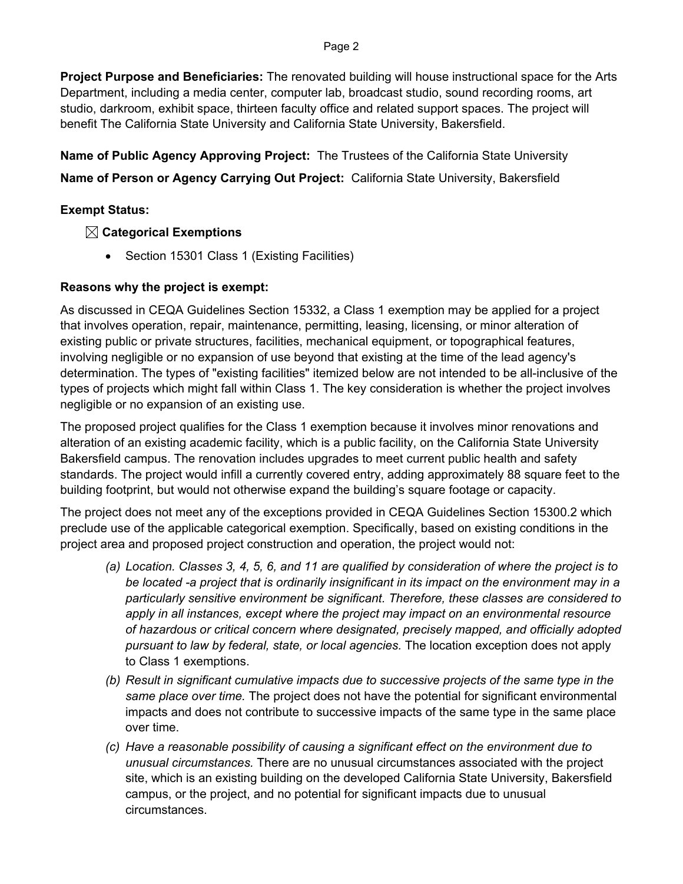#### Page 2

**Project Purpose and Beneficiaries:** The renovated building will house instructional space for the Arts Department, including a media center, computer lab, broadcast studio, sound recording rooms, art studio, darkroom, exhibit space, thirteen faculty office and related support spaces. The project will benefit The California State University and California State University, Bakersfield.

**Name of Public Agency Approving Project:** The Trustees of the California State University

# **Name of Person or Agency Carrying Out Project:** California State University, Bakersfield

## **Exempt Status:**

# **Categorical Exemptions**

• Section 15301 Class 1 (Existing Facilities)

### **Reasons why the project is exempt:**

As discussed in CEQA Guidelines Section 15332, a Class 1 exemption may be applied for a project that involves operation, repair, maintenance, permitting, leasing, licensing, or minor alteration of existing public or private structures, facilities, mechanical equipment, or topographical features, involving negligible or no expansion of use beyond that existing at the time of the lead agency's determination. The types of "existing facilities" itemized below are not intended to be all-inclusive of the types of projects which might fall within Class 1. The key consideration is whether the project involves negligible or no expansion of an existing use.

The proposed project qualifies for the Class 1 exemption because it involves minor renovations and alteration of an existing academic facility, which is a public facility, on the California State University Bakersfield campus. The renovation includes upgrades to meet current public health and safety standards. The project would infill a currently covered entry, adding approximately 88 square feet to the building footprint, but would not otherwise expand the building's square footage or capacity.

The project does not meet any of the exceptions provided in CEQA Guidelines Section 15300.2 which preclude use of the applicable categorical exemption. Specifically, based on existing conditions in the project area and proposed project construction and operation, the project would not:

- *(a) Location. Classes 3, 4, 5, 6, and 11 are qualified by consideration of where the project is to be located -a project that is ordinarily insignificant in its impact on the environment may in a particularly sensitive environment be significant. Therefore, these classes are considered to apply in all instances, except where the project may impact on an environmental resource of hazardous or critical concern where designated, precisely mapped, and officially adopted pursuant to law by federal, state, or local agencies.* The location exception does not apply to Class 1 exemptions.
- *(b) Result in significant cumulative impacts due to successive projects of the same type in the same place over time.* The project does not have the potential for significant environmental impacts and does not contribute to successive impacts of the same type in the same place over time.
- *(c) Have a reasonable possibility of causing a significant effect on the environment due to unusual circumstances.* There are no unusual circumstances associated with the project site, which is an existing building on the developed California State University, Bakersfield campus, or the project, and no potential for significant impacts due to unusual circumstances.